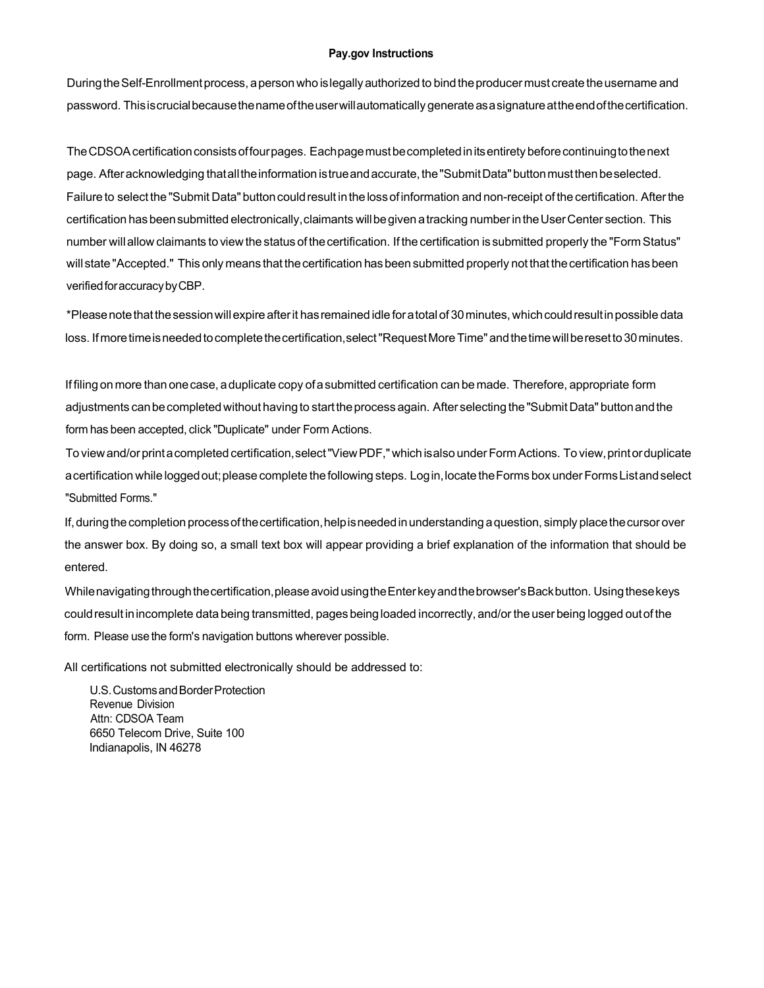### **Pay.gov Instructions**

During the Self-Enrollment process, a person who is legally authorized to bind the producer must create the username and password. Thisiscrucialbecausethenameoftheuserwillautomatically generateasasignatureattheendofthecertification.

The CDSOA certification consists of four pages. Each page must be completed in its entirety before continuing to the next page. After acknowledging that all the information is true and accurate, the "Submit Data" button must then be selected. Failure to select the "Submit Data" buttoncouldresult inthe lossofinformation and non-receipt of the certification. Afterthe certification hasbeensubmitted electronically,claimants willbegiven atracking numberintheUserCenter section. This number willallow claimants to view the status of thecertification. If the certification issubmitted properly the "Form Status" will state "Accepted." This only means that the certification has been submitted properly not that the certification has been verified for accuracy by CBP.

\*Pleasenotethatthesessionwillexpire afterit hasremained idle foratotalof 30minutes, whichcouldresultinpossible data loss. If more time is needed to complete the certification, select "Request More Time" and the time will be reset to 30 minutes.

If filing on more than onecase, aduplicate copy ofasubmitted certification can be made. Therefore, appropriate form adjustments can be completed without having to start the process again. After selecting the "Submit Data" button and the form has been accepted, click "Duplicate" under Form Actions.

To viewand/or printacompleted certification,select"ViewPDF," which isalso underForm Actions. To view,printorduplicate a certification while logged out; please complete the following steps. Login, locate the Forms box under Forms Listand select "Submitted Forms."

If, during the completion process of the certification, help is needed in understanding a question, simply place the cursor over the answer box. By doing so, a small text box will appear providing a brief explanation of the information that should be entered.

While navigating through the certification, please avoid using the Enter key and the browser's Back button. Using these keys could result in incomplete data being transmitted, pages being loaded incorrectly, and/or the user being logged out of the form. Please use the form's navigation buttons wherever possible.

All certifications not submitted electronically should be addressed to:

U.S.CustomsandBorderProtection Revenue Division Attn: CDSOA Team 6650 Telecom Drive, Suite 100 Indianapolis, IN 46278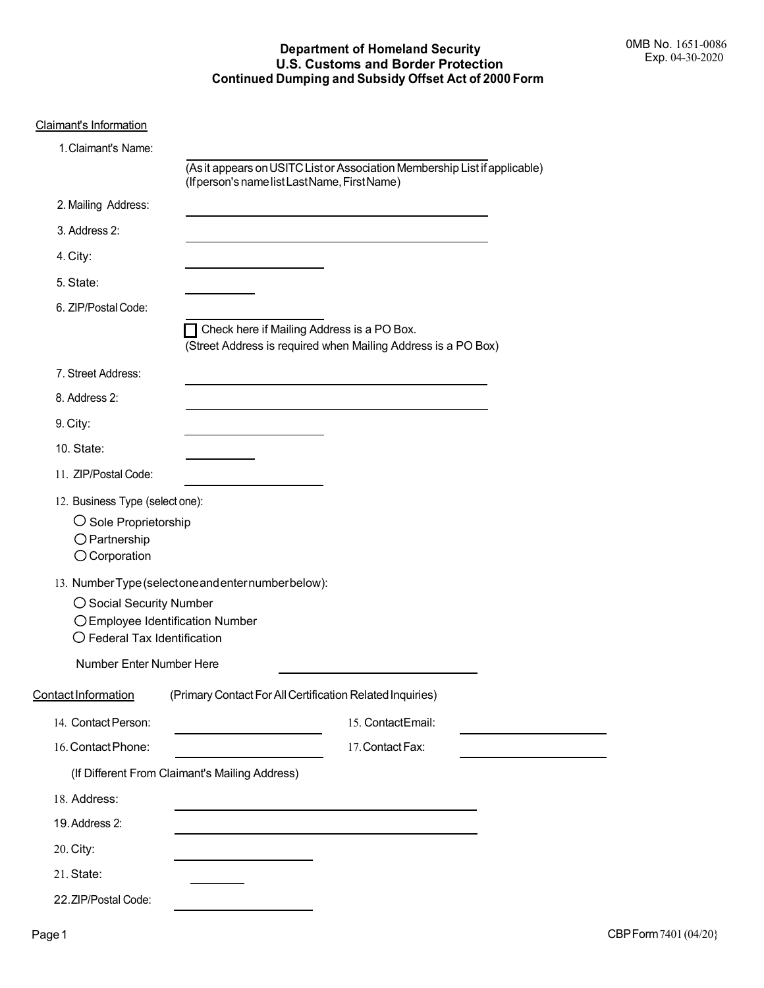# **Department of Homeland Security U.S. Customs and Border Protection Continued Dumping and Subsidy Offset Act of 2000 Form**

|--|

| 1. Claimant's Name:                                                                                                   |                                                                                                                             |
|-----------------------------------------------------------------------------------------------------------------------|-----------------------------------------------------------------------------------------------------------------------------|
|                                                                                                                       | (As it appears on USITC List or Association Membership List if applicable)<br>(If person's name list Last Name, First Name) |
| 2. Mailing Address:                                                                                                   |                                                                                                                             |
| 3. Address 2:                                                                                                         |                                                                                                                             |
| 4. City:                                                                                                              |                                                                                                                             |
| 5. State:                                                                                                             |                                                                                                                             |
| 6. ZIP/Postal Code:                                                                                                   |                                                                                                                             |
|                                                                                                                       | Check here if Mailing Address is a PO Box.<br>(Street Address is required when Mailing Address is a PO Box)                 |
| 7. Street Address:                                                                                                    | <u> 1989 - Johann Stoff, Amerikaansk politiker († 1908)</u>                                                                 |
| 8. Address 2:                                                                                                         |                                                                                                                             |
| 9. City:                                                                                                              |                                                                                                                             |
| 10. State:                                                                                                            |                                                                                                                             |
| 11. ZIP/Postal Code:                                                                                                  |                                                                                                                             |
| 12. Business Type (select one):<br>$\bigcirc$ Sole Proprietorship<br>$\bigcirc$ Partnership<br>$\bigcirc$ Corporation |                                                                                                                             |
| ◯ Social Security Number<br>$\bigcirc$ Federal Tax Identification                                                     | 13. Number Type (selectone and enternumber below):<br>○ Employee Identification Number                                      |
| Number Enter Number Here                                                                                              |                                                                                                                             |
| <u> Contact Information</u>                                                                                           | (Primary Contact For All Certification Related Inquiries)                                                                   |
| 14. Contact Person:                                                                                                   | 15. ContactEmail:                                                                                                           |
| 16. Contact Phone:                                                                                                    | 17. Contact Fax:                                                                                                            |
|                                                                                                                       | (If Different From Claimant's Mailing Address)                                                                              |
| 18. Address:                                                                                                          |                                                                                                                             |
| 19. Address 2:                                                                                                        |                                                                                                                             |
| 20. City:                                                                                                             |                                                                                                                             |
| 21. State:                                                                                                            |                                                                                                                             |
| 22.ZIP/Postal Code:                                                                                                   |                                                                                                                             |

 $\overline{\phantom{0}}$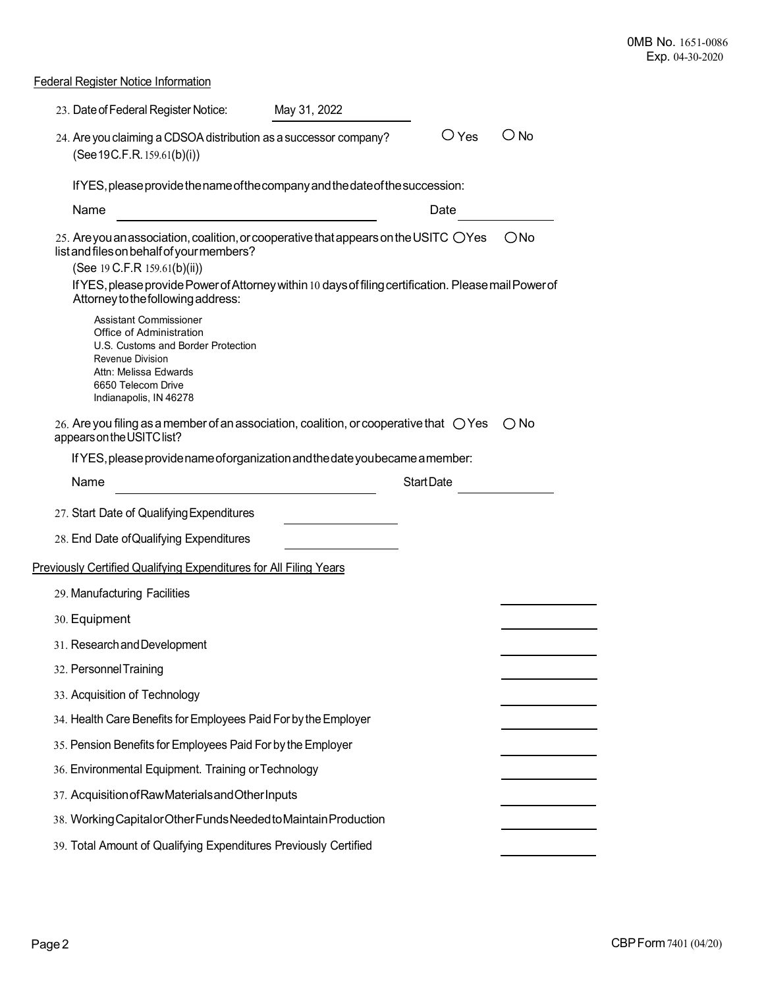Federal Register Notice Information

| 23. Date of Federal Register Notice:                                                                                                                                                         | May 31, 2022 |                   |                |               |  |  |  |
|----------------------------------------------------------------------------------------------------------------------------------------------------------------------------------------------|--------------|-------------------|----------------|---------------|--|--|--|
| 24. Are you claiming a CDSOA distribution as a successor company?<br>(See 19C.F.R. 159.61(b)(i))                                                                                             |              |                   | $\bigcirc$ Yes | O No          |  |  |  |
| If YES, please provide the name of the company and the date of the succession:                                                                                                               |              |                   |                |               |  |  |  |
| Name                                                                                                                                                                                         |              | Date              |                |               |  |  |  |
| 25. Are you an association, coalition, or cooperative that appears on the USITC $\bigcirc$ Yes<br>list and files on behalf of your members?<br>(See 19 C.F.R 159.61(b)(ii))                  |              |                   |                | $\bigcirc$ No |  |  |  |
| If YES, please provide Power of Attorney within 10 days of filing certification. Please mail Power of<br>Attorney to the following address:                                                  |              |                   |                |               |  |  |  |
| Assistant Commissioner<br>Office of Administration<br>U.S. Customs and Border Protection<br><b>Revenue Division</b><br>Attn: Melissa Edwards<br>6650 Telecom Drive<br>Indianapolis, IN 46278 |              |                   |                |               |  |  |  |
| 26. Are you filing as a member of an association, coalition, or cooperative that $\bigcirc$ Yes<br>appears on the USITC list?                                                                |              |                   |                | $\bigcirc$ No |  |  |  |
| If YES, please provide name of organization and the date you became a member:                                                                                                                |              |                   |                |               |  |  |  |
| Name                                                                                                                                                                                         |              | <b>Start Date</b> |                |               |  |  |  |
| 27. Start Date of Qualifying Expenditures                                                                                                                                                    |              |                   |                |               |  |  |  |
| 28. End Date of Qualifying Expenditures                                                                                                                                                      |              |                   |                |               |  |  |  |
| Previously Certified Qualifying Expenditures for All Filing Years                                                                                                                            |              |                   |                |               |  |  |  |
| 29. Manufacturing Facilities                                                                                                                                                                 |              |                   |                |               |  |  |  |
| 30. Equipment                                                                                                                                                                                |              |                   |                |               |  |  |  |
| 31. Research and Development                                                                                                                                                                 |              |                   |                |               |  |  |  |
| 32. Personnel Training                                                                                                                                                                       |              |                   |                |               |  |  |  |
| 33. Acquisition of Technology                                                                                                                                                                |              |                   |                |               |  |  |  |
| 34. Health Care Benefits for Employees Paid For by the Employer                                                                                                                              |              |                   |                |               |  |  |  |
| 35. Pension Benefits for Employees Paid For by the Employer                                                                                                                                  |              |                   |                |               |  |  |  |
| 36. Environmental Equipment. Training or Technology                                                                                                                                          |              |                   |                |               |  |  |  |
| 37. Acquisition of Raw Materials and Other Inputs                                                                                                                                            |              |                   |                |               |  |  |  |
| 38. Working Capital or Other Funds Needed to Maintain Production                                                                                                                             |              |                   |                |               |  |  |  |
| 39. Total Amount of Qualifying Expenditures Previously Certified                                                                                                                             |              |                   |                |               |  |  |  |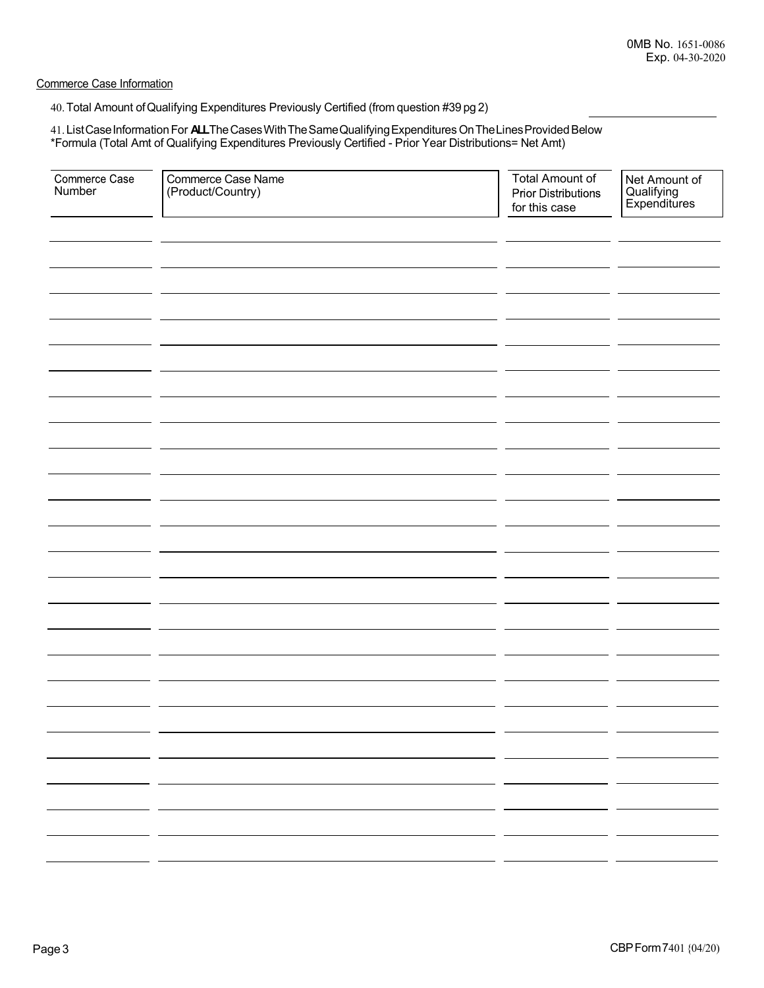Commerce Case Information

40.Total Amount ofQualifying Expenditures Previously Certified (from question #39 pg 2)

41. List Case Information For **ALL**The Cases With The Same Qualifying Expenditures On The Lines Provided Below \*Formula (Total Amt of Qualifying Expenditures Previously Certified - Prior Year Distributions= Net Amt)

| Commerce Case<br>Number | Commerce Case Name<br>(Product/Country) | <b>Total Amount of</b><br><b>Prior Distributions</b><br>for this case | Net Amount of<br>Qualifying<br>Expenditures          |
|-------------------------|-----------------------------------------|-----------------------------------------------------------------------|------------------------------------------------------|
|                         |                                         |                                                                       |                                                      |
|                         |                                         |                                                                       |                                                      |
|                         |                                         |                                                                       |                                                      |
|                         |                                         |                                                                       |                                                      |
|                         |                                         |                                                                       |                                                      |
|                         |                                         |                                                                       |                                                      |
|                         |                                         |                                                                       |                                                      |
|                         |                                         |                                                                       |                                                      |
|                         |                                         |                                                                       |                                                      |
|                         |                                         |                                                                       |                                                      |
|                         |                                         |                                                                       |                                                      |
|                         |                                         |                                                                       |                                                      |
|                         |                                         |                                                                       |                                                      |
|                         |                                         |                                                                       |                                                      |
|                         |                                         | - -                                                                   |                                                      |
|                         |                                         |                                                                       | $\overline{\phantom{0}}$                             |
|                         |                                         | - -                                                                   | $\overline{\phantom{0}}$                             |
|                         |                                         |                                                                       | $\overline{\phantom{0}}$<br>$\overline{\phantom{0}}$ |
|                         |                                         |                                                                       |                                                      |